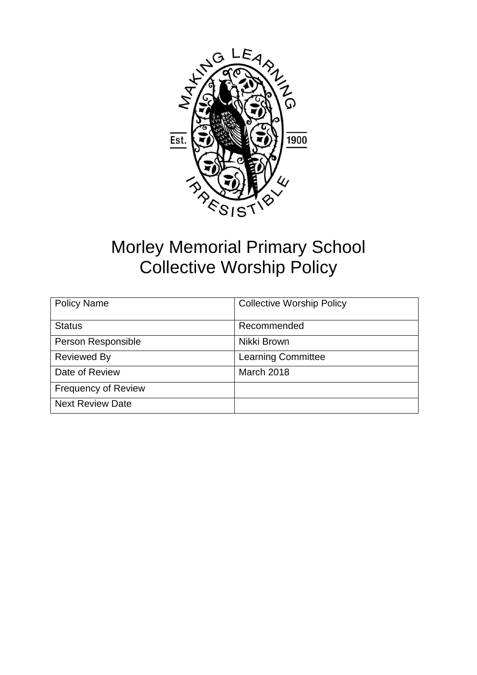

## Morley Memorial Primary School Collective Worship Policy

| <b>Policy Name</b>         | <b>Collective Worship Policy</b> |
|----------------------------|----------------------------------|
| <b>Status</b>              | Recommended                      |
| Person Responsible         | Nikki Brown                      |
| <b>Reviewed By</b>         | <b>Learning Committee</b>        |
| Date of Review             | <b>March 2018</b>                |
| <b>Frequency of Review</b> |                                  |
| <b>Next Review Date</b>    |                                  |